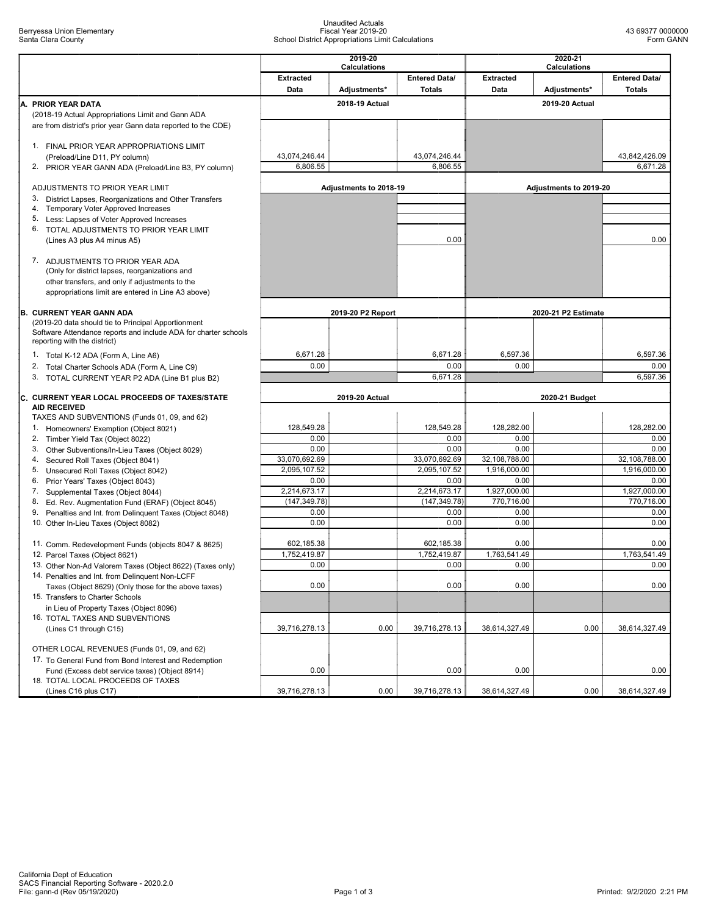## Unaudited Actuals Fiscal Year 2019-20 School District Appropriations Limit Calculations

|    |                                                                                               | 2019-20<br><b>Calculations</b> |                   |                      | 2020-21<br><b>Calculations</b> |                     |                      |  |
|----|-----------------------------------------------------------------------------------------------|--------------------------------|-------------------|----------------------|--------------------------------|---------------------|----------------------|--|
|    |                                                                                               | <b>Extracted</b>               |                   | <b>Entered Data/</b> | <b>Extracted</b>               |                     | <b>Entered Data/</b> |  |
|    |                                                                                               | Data                           | Adjustments*      | <b>Totals</b>        | Data                           | Adjustments*        | <b>Totals</b>        |  |
|    | A. PRIOR YEAR DATA                                                                            |                                | 2018-19 Actual    |                      |                                | 2019-20 Actual      |                      |  |
|    | (2018-19 Actual Appropriations Limit and Gann ADA                                             |                                |                   |                      |                                |                     |                      |  |
|    | are from district's prior year Gann data reported to the CDE)                                 |                                |                   |                      |                                |                     |                      |  |
|    | 1. FINAL PRIOR YEAR APPROPRIATIONS LIMIT<br>(Preload/Line D11, PY column)                     | 43,074,246.44                  |                   | 43,074,246.44        |                                |                     | 43,842,426.09        |  |
|    | 2. PRIOR YEAR GANN ADA (Preload/Line B3, PY column)                                           | 6,806.55                       |                   | 6,806.55             |                                |                     | 6,671.28             |  |
|    |                                                                                               |                                |                   |                      |                                |                     |                      |  |
|    | ADJUSTMENTS TO PRIOR YEAR LIMIT                                                               | Adjustments to 2018-19         |                   |                      | Adjustments to 2019-20         |                     |                      |  |
| 3. | District Lapses, Reorganizations and Other Transfers<br>4. Temporary Voter Approved Increases |                                |                   |                      |                                |                     |                      |  |
|    | 5. Less: Lapses of Voter Approved Increases                                                   |                                |                   |                      |                                |                     |                      |  |
|    | 6. TOTAL ADJUSTMENTS TO PRIOR YEAR LIMIT                                                      |                                |                   |                      |                                |                     |                      |  |
|    | (Lines A3 plus A4 minus A5)                                                                   |                                |                   | 0.00                 |                                |                     | 0.00                 |  |
|    | 7. ADJUSTMENTS TO PRIOR YEAR ADA                                                              |                                |                   |                      |                                |                     |                      |  |
|    | (Only for district lapses, reorganizations and                                                |                                |                   |                      |                                |                     |                      |  |
|    | other transfers, and only if adjustments to the                                               |                                |                   |                      |                                |                     |                      |  |
|    | appropriations limit are entered in Line A3 above)                                            |                                |                   |                      |                                |                     |                      |  |
|    |                                                                                               |                                |                   |                      |                                |                     |                      |  |
|    | <b>B. CURRENT YEAR GANN ADA</b><br>(2019-20 data should tie to Principal Apportionment        |                                | 2019-20 P2 Report |                      |                                | 2020-21 P2 Estimate |                      |  |
|    | Software Attendance reports and include ADA for charter schools                               |                                |                   |                      |                                |                     |                      |  |
|    | reporting with the district)                                                                  |                                |                   |                      |                                |                     |                      |  |
|    | 1. Total K-12 ADA (Form A, Line A6)                                                           | 6,671.28                       |                   | 6,671.28             | 6,597.36                       |                     | 6,597.36             |  |
|    | 2. Total Charter Schools ADA (Form A, Line C9)                                                | 0.00                           |                   | 0.00                 | 0.00                           |                     | 0.00                 |  |
| 3. | TOTAL CURRENT YEAR P2 ADA (Line B1 plus B2)                                                   |                                |                   | 6,671.28             |                                |                     | 6,597.36             |  |
|    | C. CURRENT YEAR LOCAL PROCEEDS OF TAXES/STATE                                                 | 2019-20 Actual                 |                   | 2020-21 Budget       |                                |                     |                      |  |
|    | <b>AID RECEIVED</b>                                                                           |                                |                   |                      |                                |                     |                      |  |
|    | TAXES AND SUBVENTIONS (Funds 01, 09, and 62)                                                  |                                |                   |                      |                                |                     |                      |  |
|    | 1. Homeowners' Exemption (Object 8021)                                                        | 128,549.28                     |                   | 128,549.28           | 128,282.00                     |                     | 128,282.00           |  |
| 3. | 2. Timber Yield Tax (Object 8022)                                                             | 0.00<br>0.00                   |                   | 0.00<br>0.00         | 0.00<br>0.00                   |                     | 0.00<br>0.00         |  |
| 4. | Other Subventions/In-Lieu Taxes (Object 8029)<br>Secured Roll Taxes (Object 8041)             | 33,070,692.69                  |                   | 33,070,692.69        | 32,108,788.00                  |                     | 32,108,788.00        |  |
|    | 5. Unsecured Roll Taxes (Object 8042)                                                         | 2,095,107.52                   |                   | 2,095,107.52         | 1,916,000.00                   |                     | 1,916,000.00         |  |
|    | 6. Prior Years' Taxes (Object 8043)                                                           | 0.00                           |                   | 0.00                 | 0.00                           |                     | 0.00                 |  |
|    | 7. Supplemental Taxes (Object 8044)                                                           | 2,214,673.17                   |                   | 2,214,673.17         | 1,927,000.00                   |                     | 1,927,000.00         |  |
|    | 8. Ed. Rev. Augmentation Fund (ERAF) (Object 8045)                                            | (147.349.78)                   |                   | (147, 349.78)        | 770.716.00                     |                     | 770,716.00           |  |
|    | 9.<br>Penalties and Int. from Delinquent Taxes (Object 8048)                                  | 0.00<br>0.00                   |                   | 0.00<br>0.00         | 0.00<br>0.00                   |                     | 0.00<br>0.00         |  |
|    | 10. Other In-Lieu Taxes (Object 8082)                                                         |                                |                   |                      |                                |                     |                      |  |
|    | 11. Comm. Redevelopment Funds (objects 8047 & 8625)                                           | 602,185.38                     |                   | 602,185.38           | 0.00                           |                     | 0.00                 |  |
|    | 12. Parcel Taxes (Object 8621)                                                                | 1,752,419.87                   |                   | 1,752,419.87         | 1,763,541.49                   |                     | 1,763,541.49         |  |
|    | 13. Other Non-Ad Valorem Taxes (Object 8622) (Taxes only)                                     | 0.00                           |                   | $0.00\,$             | 0.00                           |                     | 0.00                 |  |
|    | 14. Penalties and Int. from Delinguent Non-LCFF                                               |                                |                   |                      |                                |                     |                      |  |
|    | Taxes (Object 8629) (Only those for the above taxes)<br>15. Transfers to Charter Schools      | 0.00                           |                   | 0.00                 | 0.00                           |                     | 0.00                 |  |
|    | in Lieu of Property Taxes (Object 8096)                                                       |                                |                   |                      |                                |                     |                      |  |
|    | 16. TOTAL TAXES AND SUBVENTIONS                                                               |                                |                   |                      |                                |                     |                      |  |
|    |                                                                                               |                                | 0.00              | 39,716,278.13        | 38,614,327.49                  | 0.00                | 38,614,327.49        |  |
|    | (Lines C1 through C15)                                                                        | 39,716,278.13                  |                   |                      |                                |                     |                      |  |
|    |                                                                                               |                                |                   |                      |                                |                     |                      |  |
|    | OTHER LOCAL REVENUES (Funds 01, 09, and 62)                                                   |                                |                   |                      |                                |                     |                      |  |
|    | 17. To General Fund from Bond Interest and Redemption                                         |                                |                   |                      |                                |                     |                      |  |
|    | Fund (Excess debt service taxes) (Object 8914)<br>18. TOTAL LOCAL PROCEEDS OF TAXES           | 0.00                           |                   | 0.00                 | 0.00                           |                     | 0.00                 |  |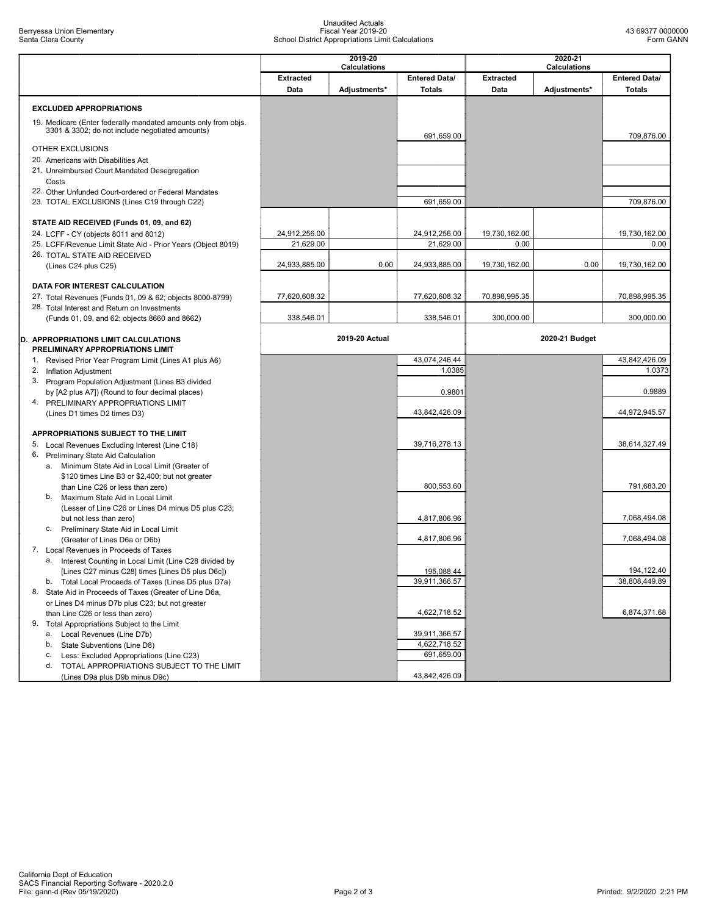## Unaudited Actuals Fiscal Year 2019-20 School District Appropriations Limit Calculations

|                                                                                                                   | 2019-20<br>Calculations |                |                      | 2020-21<br><b>Calculations</b> |                |                      |  |
|-------------------------------------------------------------------------------------------------------------------|-------------------------|----------------|----------------------|--------------------------------|----------------|----------------------|--|
|                                                                                                                   | <b>Extracted</b>        |                | <b>Entered Data/</b> | <b>Extracted</b>               |                | <b>Entered Data/</b> |  |
|                                                                                                                   | Data                    | Adjustments*   | <b>Totals</b>        | Data                           | Adjustments*   | <b>Totals</b>        |  |
|                                                                                                                   |                         |                |                      |                                |                |                      |  |
| <b>EXCLUDED APPROPRIATIONS</b>                                                                                    |                         |                |                      |                                |                |                      |  |
| 19. Medicare (Enter federally mandated amounts only from objs.<br>3301 & 3302; do not include negotiated amounts) |                         |                | 691,659.00           |                                |                | 709,876.00           |  |
| OTHER EXCLUSIONS                                                                                                  |                         |                |                      |                                |                |                      |  |
| 20. Americans with Disabilities Act                                                                               |                         |                |                      |                                |                |                      |  |
| 21. Unreimbursed Court Mandated Desegregation<br>Costs                                                            |                         |                |                      |                                |                |                      |  |
| 22. Other Unfunded Court-ordered or Federal Mandates                                                              |                         |                |                      |                                |                |                      |  |
| 23. TOTAL EXCLUSIONS (Lines C19 through C22)                                                                      |                         |                | 691,659.00           |                                |                | 709,876.00           |  |
| STATE AID RECEIVED (Funds 01, 09, and 62)                                                                         |                         |                |                      |                                |                |                      |  |
| 24. LCFF - CY (objects 8011 and 8012)                                                                             | 24,912,256.00           |                | 24,912,256.00        | 19,730,162.00                  |                | 19,730,162.00        |  |
| 25. LCFF/Revenue Limit State Aid - Prior Years (Object 8019)                                                      | 21,629.00               |                | 21,629.00            | 0.00                           |                | 0.00                 |  |
| 26. TOTAL STATE AID RECEIVED                                                                                      |                         |                |                      |                                |                |                      |  |
| (Lines C24 plus C25)                                                                                              | 24,933,885.00           | 0.00           | 24,933,885.00        | 19,730,162.00                  | 0.00           | 19,730,162.00        |  |
|                                                                                                                   |                         |                |                      |                                |                |                      |  |
| DATA FOR INTEREST CALCULATION<br>27. Total Revenues (Funds 01, 09 & 62; objects 8000-8799)                        | 77,620,608.32           |                | 77,620,608.32        | 70,898,995.35                  |                | 70,898,995.35        |  |
| 28. Total Interest and Return on Investments                                                                      |                         |                |                      |                                |                |                      |  |
| (Funds 01, 09, and 62; objects 8660 and 8662)                                                                     | 338,546.01              |                | 338,546.01           | 300,000.00                     |                | 300,000.00           |  |
|                                                                                                                   |                         |                |                      |                                |                |                      |  |
| D. APPROPRIATIONS LIMIT CALCULATIONS<br>PRELIMINARY APPROPRIATIONS LIMIT                                          |                         | 2019-20 Actual |                      |                                | 2020-21 Budget |                      |  |
| 1. Revised Prior Year Program Limit (Lines A1 plus A6)                                                            |                         |                | 43,074,246.44        |                                |                | 43,842,426.09        |  |
| 2. Inflation Adjustment                                                                                           |                         |                | 1.0385               |                                |                | 1.0373               |  |
| 3. Program Population Adjustment (Lines B3 divided                                                                |                         |                | 0.9801               |                                |                | 0.9889               |  |
| by [A2 plus A7]) (Round to four decimal places)<br>4. PRELIMINARY APPROPRIATIONS LIMIT                            |                         |                |                      |                                |                |                      |  |
| (Lines D1 times D2 times D3)                                                                                      |                         |                | 43,842,426.09        |                                |                | 44,972,945.57        |  |
|                                                                                                                   |                         |                |                      |                                |                |                      |  |
| APPROPRIATIONS SUBJECT TO THE LIMIT                                                                               |                         |                |                      |                                |                |                      |  |
| 5. Local Revenues Excluding Interest (Line C18)                                                                   |                         |                | 39,716,278.13        |                                |                | 38,614,327.49        |  |
| 6. Preliminary State Aid Calculation<br>a. Minimum State Aid in Local Limit (Greater of                           |                         |                |                      |                                |                |                      |  |
| \$120 times Line B3 or \$2,400; but not greater                                                                   |                         |                |                      |                                |                |                      |  |
| than Line C26 or less than zero)                                                                                  |                         |                | 800,553.60           |                                |                | 791,683.20           |  |
| Maximum State Aid in Local Limit<br>b.                                                                            |                         |                |                      |                                |                |                      |  |
| (Lesser of Line C26 or Lines D4 minus D5 plus C23;                                                                |                         |                |                      |                                |                |                      |  |
| but not less than zero)                                                                                           |                         |                | 4,817,806.96         |                                |                | 7,068,494.08         |  |
| Preliminary State Aid in Local Limit<br>C.<br>(Greater of Lines D6a or D6b)                                       |                         |                | 4,817,806.96         |                                |                | 7,068,494.08         |  |
| 7. Local Revenues in Proceeds of Taxes                                                                            |                         |                |                      |                                |                |                      |  |
| a. Interest Counting in Local Limit (Line C28 divided by                                                          |                         |                |                      |                                |                |                      |  |
| [Lines C27 minus C28] times [Lines D5 plus D6c])                                                                  |                         |                | 195,088.44           |                                |                | 194,122.40           |  |
| b. Total Local Proceeds of Taxes (Lines D5 plus D7a)                                                              |                         |                | 39,911,366.57        |                                |                | 38,808,449.89        |  |
| 8. State Aid in Proceeds of Taxes (Greater of Line D6a,                                                           |                         |                |                      |                                |                |                      |  |
| or Lines D4 minus D7b plus C23; but not greater                                                                   |                         |                |                      |                                |                | 6,874,371.68         |  |
| than Line C26 or less than zero)<br>9. Total Appropriations Subject to the Limit                                  |                         |                | 4,622,718.52         |                                |                |                      |  |
| Local Revenues (Line D7b)<br>а.                                                                                   |                         |                | 39,911,366.57        |                                |                |                      |  |
| b.<br>State Subventions (Line D8)                                                                                 |                         |                | 4,622,718.52         |                                |                |                      |  |
| Less: Excluded Appropriations (Line C23)<br>c.                                                                    |                         |                | 691,659.00           |                                |                |                      |  |
| TOTAL APPROPRIATIONS SUBJECT TO THE LIMIT<br>d.                                                                   |                         |                |                      |                                |                |                      |  |
| (Lines D9a plus D9b minus D9c)                                                                                    |                         |                | 43,842,426.09        |                                |                |                      |  |